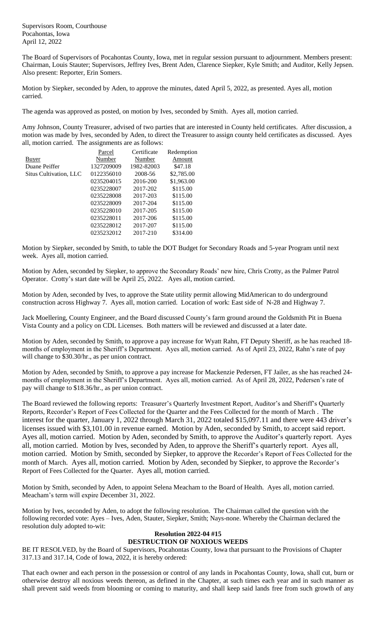Supervisors Room, Courthouse Pocahontas, Iowa April 12, 2022

The Board of Supervisors of Pocahontas County, Iowa, met in regular session pursuant to adjournment. Members present: Chairman, Louis Stauter; Supervisors, Jeffrey Ives, Brent Aden, Clarence Siepker, Kyle Smith; and Auditor, Kelly Jepsen. Also present: Reporter, Erin Somers.

Motion by Siepker, seconded by Aden, to approve the minutes, dated April 5, 2022, as presented. Ayes all, motion carried.

The agenda was approved as posted, on motion by Ives, seconded by Smith. Ayes all, motion carried.

Amy Johnson, County Treasurer, advised of two parties that are interested in County held certificates. After discussion, a motion was made by Ives, seconded by Aden, to direct the Treasurer to assign county held certificates as discussed. Ayes all, motion carried. The assignments are as follows:

|                        | Parcel     | Certificate | Redemption |
|------------------------|------------|-------------|------------|
| Buyer                  | Number     | Number      | Amount     |
| Duane Peiffer          | 1327209009 | 1982-82003  | \$47.18    |
| Situs Cultivation, LLC | 0122356010 | 2008-56     | \$2,785.00 |
|                        | 0235204015 | 2016-200    | \$1,963.00 |
|                        | 0235228007 | 2017-202    | \$115.00   |
|                        | 0235228008 | 2017-203    | \$115.00   |
|                        | 0235228009 | 2017-204    | \$115.00   |
|                        | 0235228010 | 2017-205    | \$115.00   |
|                        | 0235228011 | 2017-206    | \$115.00   |
|                        | 0235228012 | 2017-207    | \$115.00   |
|                        | 0235232012 | 2017-210    | \$314.00   |
|                        |            |             |            |

Motion by Siepker, seconded by Smith, to table the DOT Budget for Secondary Roads and 5-year Program until next week. Ayes all, motion carried.

Motion by Aden, seconded by Siepker, to approve the Secondary Roads' new hire, Chris Crotty, as the Palmer Patrol Operator. Crotty's start date will be April 25, 2022. Ayes all, motion carried.

Motion by Aden, seconded by Ives, to approve the State utility permit allowing MidAmerican to do underground construction across Highway 7. Ayes all, motion carried. Location of work: East side of N-28 and Highway 7.

Jack Moellering, County Engineer, and the Board discussed County's farm ground around the Goldsmith Pit in Buena Vista County and a policy on CDL Licenses. Both matters will be reviewed and discussed at a later date.

Motion by Aden, seconded by Smith, to approve a pay increase for Wyatt Rahn, FT Deputy Sheriff, as he has reached 18 months of employment in the Sheriff's Department. Ayes all, motion carried. As of April 23, 2022, Rahn's rate of pay will change to \$30.30/hr., as per union contract.

Motion by Aden, seconded by Smith, to approve a pay increase for Mackenzie Pedersen, FT Jailer, as she has reached 24 months of employment in the Sheriff's Department. Ayes all, motion carried. As of April 28, 2022, Pedersen's rate of pay will change to \$18.36/hr., as per union contract.

The Board reviewed the following reports: Treasurer's Quarterly Investment Report, Auditor's and Sheriff's Quarterly Reports, Recorder's Report of Fees Collected for the Quarter and the Fees Collected for the month of March . The interest for the quarter, January 1, 2022 through March 31, 2022 totaled \$15,097.11 and there were 443 driver's licenses issued with \$3,101.00 in revenue earned. Motion by Aden, seconded by Smith, to accept said report. Ayes all, motion carried. Motion by Aden, seconded by Smith, to approve the Auditor's quarterly report. Ayes all, motion carried. Motion by Ives, seconded by Aden, to approve the Sheriff's quarterly report. Ayes all, motion carried. Motion by Smith, seconded by Siepker, to approve the Recorder's Report of Fees Collected for the month of March. Ayes all, motion carried. Motion by Aden, seconded by Siepker, to approve the Recorder's Report of Fees Collected for the Quarter. Ayes all, motion carried.

Motion by Smith, seconded by Aden, to appoint Selena Meacham to the Board of Health. Ayes all, motion carried. Meacham's term will expire December 31, 2022.

Motion by Ives, seconded by Aden, to adopt the following resolution. The Chairman called the question with the following recorded vote: Ayes – Ives, Aden, Stauter, Siepker, Smith; Nays-none. Whereby the Chairman declared the resolution duly adopted to-wit:

## **Resolution 2022-04 #15 DESTRUCTION OF NOXIOUS WEEDS**

BE IT RESOLVED, by the Board of Supervisors, Pocahontas County, Iowa that pursuant to the Provisions of Chapter 317.13 and 317.14, Code of Iowa, 2022, it is hereby ordered:

That each owner and each person in the possession or control of any lands in Pocahontas County, Iowa, shall cut, burn or otherwise destroy all noxious weeds thereon, as defined in the Chapter, at such times each year and in such manner as shall prevent said weeds from blooming or coming to maturity, and shall keep said lands free from such growth of any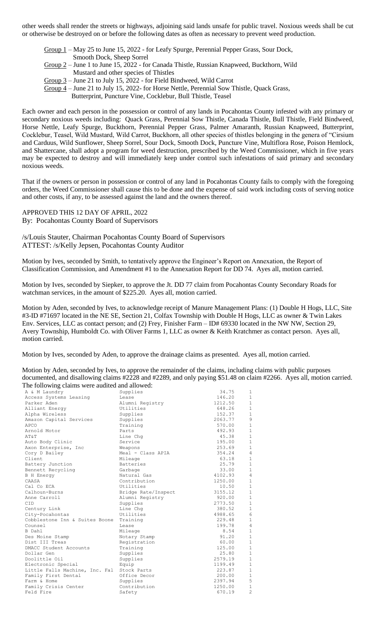other weeds shall render the streets or highways, adjoining said lands unsafe for public travel. Noxious weeds shall be cut or otherwise be destroyed on or before the following dates as often as necessary to prevent weed production.

Group 1 – May 25 to June 15, 2022 - for Leafy Spurge, Perennial Pepper Grass, Sour Dock, Smooth Dock, Sheep Sorrel Group 2 – June 1 to June 15, 2022 - for Canada Thistle, Russian Knapweed, Buckthorn, Wild

Mustard and other species of Thistles

Group 3 – June 21 to July 15, 2022 - for Field Bindweed, Wild Carrot

Group 4 – June 21 to July 15, 2022- for Horse Nettle, Perennial Sow Thistle, Quack Grass, Butterprint, Puncture Vine, Cocklebur, Bull Thistle, Teasel

Each owner and each person in the possession or control of any lands in Pocahontas County infested with any primary or secondary noxious weeds including: Quack Grass, Perennial Sow Thistle, Canada Thistle, Bull Thistle, Field Bindweed, Horse Nettle, Leafy Spurge, Buckthorn, Perennial Pepper Grass, Palmer Amaranth, Russian Knapweed, Butterprint, Cocklebur, Teasel, Wild Mustard, Wild Carrot, Buckhorn, all other species of thistles belonging in the genera of "Cirsium and Carduus, Wild Sunflower, Sheep Sorrel, Sour Dock, Smooth Dock, Puncture Vine, Multiflora Rose, Poison Hemlock, and Shattercane, shall adopt a program for weed destruction, prescribed by the Weed Commissioner, which in five years may be expected to destroy and will immediately keep under control such infestations of said primary and secondary noxious weeds.

That if the owners or person in possession or control of any land in Pocahontas County fails to comply with the foregoing orders, the Weed Commissioner shall cause this to be done and the expense of said work including costs of serving notice and other costs, if any, to be assessed against the land and the owners thereof.

APPROVED THIS 12 DAY OF APRIL, 2022

By: Pocahontas County Board of Supervisors

/s/Louis Stauter, Chairman Pocahontas County Board of Supervisors ATTEST: /s/Kelly Jepsen, Pocahontas County Auditor

Motion by Ives, seconded by Smith, to tentatively approve the Engineer's Report on Annexation, the Report of Classification Commission, and Amendment #1 to the Annexation Report for DD 74. Ayes all, motion carried.

Motion by Ives, seconded by Siepker, to approve the Jt. DD 77 claim from Pocahontas County Secondary Roads for watchman services, in the amount of \$225.20. Ayes all, motion carried.

Motion by Aden, seconded by Ives, to acknowledge receipt of Manure Management Plans: (1) Double H Hogs, LLC, Site #3-ID #71697 located in the NE SE, Section 21, Colfax Township with Double H Hogs, LLC as owner & Twin Lakes Env. Services, LLC as contact person; and (2) Frey, Finisher Farm – ID# 69330 located in the NW NW, Section 29, Avery Township, Humboldt Co. with Oliver Farms 1, LLC as owner & Keith Kratchmer as contact person. Ayes all, motion carried.

Motion by Ives, seconded by Aden, to approve the drainage claims as presented. Ayes all, motion carried.

Motion by Aden, seconded by Ives, to approve the remainder of the claims, including claims with public purposes documented, and disallowing claims #2228 and #2289, and only paying \$51.48 on claim #2266. Ayes all, motion carried. The following claims were audited and allowed:

| The following claims were audited and allowed: |                     |         |                |
|------------------------------------------------|---------------------|---------|----------------|
| A & M Laundry                                  | Supplies            | 34.75   | $\mathbf{1}$   |
| Access Systems Leasing                         | Lease               | 146.20  | $1\,$          |
| Parker Aden                                    | Alumni Registry     | 1212.50 | $\mathbf{1}$   |
| Alliant Energy                                 | Utilities           | 648.26  | $\mathbf{1}$   |
| Alpha Wireless                                 | Supplies            | 152.37  | $\mathbf{1}$   |
| Amazon Capital Services                        | Supplies            | 2063.77 | 9              |
| APCO                                           | Training            | 570.00  | $\mathbf{1}$   |
| Arnold Motor                                   | Parts               | 492.93  | $\mathbf{1}$   |
| AT&T                                           | Line Chq            | 45.38   | $\mathbf{1}$   |
| Auto Body Clinic                               | Service             | 195.00  | $\mathbf{1}$   |
| Axon Enterprise, Inc                           | Weapons             | 253.69  | $\mathbf{1}$   |
| Cory D Bailey                                  | Meal - Class APIA   | 354.24  | $\overline{4}$ |
| Client                                         | Mileage             | 63.18   | $\mathbf{1}$   |
| Battery Junction                               | Batteries           | 25.79   | $\mathbf{1}$   |
| Bennett Recycling                              | Garbage             | 33.00   | $\mathbf{1}$   |
| <b>B</b> H Energy                              | Natural Gas         | 4102.93 | $\overline{4}$ |
| CAASA                                          | Contribution        | 1250.00 | $\mathbf{1}$   |
| Cal Co ECA                                     | Utilities           | 10.50   | $\mathbf{1}$   |
| Calhoun-Burns                                  | Bridge Rate/Inspect | 3155.12 | $\mathbf{1}$   |
| Anne Carroll                                   | Alumni Registry     | 920.00  | $\mathbf{1}$   |
| CID.                                           | Supplies            | 2773.50 | $\mathbf{1}$   |
| Century Link                                   | Line Chq            | 380.52  | $1\,$          |
| City-Pocahontas                                | Utilities           | 4988.65 | 6              |
| Cobblestone Inn & Suites Boone                 | Training            | 229.48  | $\mathbf{1}$   |
| Counsel                                        | Lease               | 199.78  | 4              |
| B Dahl                                         | Mileage             | 8.54    | $\mathbf{1}$   |
| Des Moine Stamp                                | Notary Stamp        | 91.20   | $\mathbf{1}$   |
| Dist III Treas                                 | Registration        | 60.00   | $1\,$          |
| DMACC Student Accounts                         | Training            | 125.00  | $\mathbf{1}$   |
| Dollar Gen                                     | Supplies            | 25.80   | $\mathbf{1}$   |
| Doolittle Oil                                  | Supplies            | 2579.19 | $1\,$          |
| Electronic Special                             | Equip               | 1199.49 | $\mathbf{1}$   |
| Little Falls Machine, Inc. Fal                 | Stock Parts         | 223.87  | $1\,$          |
| Family First Dental                            | Office Decor        | 200.00  | $1\,$          |
| Farm & Home                                    | Supplies            | 2397.94 | 5              |
| Family Crisis Center                           | Contribution        | 1250.00 | $\mathbf{1}$   |
| Feld Fire                                      | Safety              | 670.19  | $\overline{c}$ |
|                                                |                     |         |                |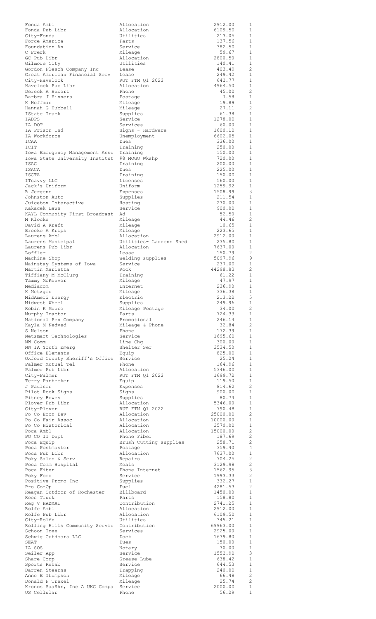| Fonda Ambl                                                                | Allocation              | 2912.00           | 1                 |
|---------------------------------------------------------------------------|-------------------------|-------------------|-------------------|
| Fonda Pub Libr                                                            | Allocation              | 6109.50           | $\mathbf{1}$      |
| City-Fonda                                                                | Utilities               | 213.05            | 1                 |
| Force America                                                             | Parts                   | 137.56            | 1                 |
| Foundation An                                                             | Service                 | 382.50            | 1                 |
| C Frerk                                                                   | Mileage                 | 59.67             | $\mathbf{1}$      |
| GC Pub Libr                                                               | Allocation              | 2800.50           | 1                 |
| Gilmore City                                                              | Utilities               | 140.41            | $\mathbf{1}$      |
| Gordon Flesch Company Inc                                                 | Lease                   | 403.49            | 2                 |
| Great American Financial Serv                                             | Lease                   | 249.42            | $\mathbf{1}$      |
| City-Havelock                                                             | RUT FTM Q1 2022         | 642.77            | 1                 |
| Havelock Pub Libr                                                         | Allocation              | 4964.50           | 1                 |
| Dereck A Hebert                                                           | Phone                   | 45.00             | 2                 |
| Barbra J Hinners                                                          | Postage                 | 7.58              | 1                 |
| K Hoffman                                                                 | Mileage                 | 19.89             | 1                 |
| Hannah G Hubbell                                                          | Mileage                 | 27.11             | 2                 |
| IState Truck                                                              | Supplies                | 61.38             | 1                 |
| IADPS                                                                     | Service                 | 1278.00           | $\mathbf{1}$      |
| IA DOT                                                                    | Services                | 60.00             | 1                 |
| IA Prison Ind                                                             | Signs - Hardware        | 1600.10           | $\mathbf{1}$      |
| IA Workforce                                                              | Unemployment            | 6602.05           | 1                 |
| ICAA                                                                      | Dues                    | 336.00            | $\mathbf{1}$      |
| ICIT                                                                      | Training                | 250.00<br>150.00  | 1<br>$\mathbf{1}$ |
| Iowa Emergency Management Asso Training<br>Iowa State University Institut | #8 MOGO Wkshp           | 720.00            | 1                 |
| ISAC                                                                      | Training                | 200.00            | 1                 |
| ISACA                                                                     | Dues                    | 225.00            | 1                 |
| ISCTA                                                                     | Training                | 150.00<br>560.00  | $\mathbf{1}$      |
| ITsavvy LLC                                                               | Licenses                | 1259.92           | 1                 |
| Jack's Uniform                                                            | Uniform                 |                   | 1                 |
| R Jergens                                                                 | Expenses                | 1508.99           | 3                 |
| Johnston Auto                                                             | Supplies                | 211.54            | $\mathbf{1}$      |
| Juicebox Interactive                                                      | Hosting                 | 230.00            | 1<br>1            |
| Kakacek Lawn                                                              | Service                 | 900.00            | 1                 |
| KAYL Community First Broadcast                                            | Ad                      | 52.50             |                   |
| M Klocke                                                                  | Mileage                 | 44.46             | 2                 |
| David A Kraft                                                             | Mileage                 | 10.65             | $\mathbf{1}$      |
| Brooke A Krips                                                            | Mileage                 | 223.65<br>2912.00 | 1                 |
| Laurens Ambl                                                              | Allocation              | 235.80            | 1                 |
| Laurens Municipal                                                         | Utilities- Laurens Shed |                   | 1                 |
| Laurens Pub Libr                                                          | Allocation              | 7637.00           | 1                 |
| Loffler                                                                   | Lease                   | 150.79            | 2                 |
| Machine Shop                                                              | welding supplies        | 5097.96           | 9                 |
| Mainstay Systems of Iowa                                                  | Service                 | 237.00            | 1                 |
| Martin Marietta                                                           | Rock                    | 44298.83          | 2                 |
| Tiffiany M McClurg                                                        | Training                | 61.22             | $\mathbf{1}$      |
| Tammy McKeever                                                            | Mileage                 | 47.97             | 1                 |
| Mediacom                                                                  | Internet                | 236.90            | 1                 |
| K Metzger                                                                 | Mileage                 | 336.38            | $\mathbf{1}$      |
| MidAmeri Energy                                                           | Electric                | 213.22            | $5\phantom{.0}$   |
| Midwest Wheel                                                             | Supplies                | 249.96            | $\mathbf{1}$      |
| Robin K Moore                                                             | Mileage Postage         | 34.00             | -2                |
| Murphy Tractor                                                            | Parts                   | 724.33            | $\mathbf{1}$      |
| National Pen Company                                                      | Promotional             | 246.14            | $\mathbf{1}$      |
| Kayla M Nedved                                                            | Mileage & Phone         | 32.84             | 2                 |
| S Nelson                                                                  | Phone                   | 172.39            | $\mathbf{1}$      |
| Netsmart Technologies                                                     | Service                 | 1695.60           | 1                 |
| NW Comm                                                                   | Line Chg                | 300.00            | $\mathbf{1}$      |
| NW IA Youth Emerg                                                         | Shelter Ser             | 3534.50           | $\mathbf{1}$      |
| Office Elements                                                           | Equip                   | 825.00            | $\mathbf{1}$      |
| Oxford County Sheriff's Office Service                                    | Phone                   | 25.24             | 1                 |
| Palmer Mutual Tel                                                         |                         | 164.96            | 1                 |
| Palmer Pub Libr                                                           | Allocation              | 5346.00           | $\mathbf{1}$      |
| City-Palmer                                                               | RUT FTM Q1 2022         | 1699.72           | 1                 |
| Terry Panbecker                                                           | Equip                   | 119.50            | 1                 |
| J Paulsen                                                                 | Expenses                | 814.62            | -2                |
| Pilot Rock Signs                                                          | Signs                   | 900.00            | 1                 |
| Pitney Bowes                                                              | Supplies                | 80.74             | <sup>1</sup>      |
| Plover Pub Libr                                                           | Allocation              | 5346.00           | 1                 |
| City-Plover                                                               | RUT FTM Q1 2022         | 790.48            | <sup>1</sup>      |
| Po Co Econ Dev                                                            | Allocation              | 25000.00          | 2                 |
| Po Co Fair Assoc                                                          | Allocation              | 10000.00          | 1                 |
| Po Co Historical                                                          | Allocation              | 3570.00           | $\overline{1}$    |
| Poca Ambl                                                                 | Allocation              | 15000.00          | -2                |
| PO CO IT Dept                                                             | Phone Fiber             | 187.69            | 2                 |
| Poca Equip                                                                | Brush Cutting supplies  | 258.71            | -2                |
| Poca Postmaster                                                           | Postage                 | 359.40            | $\overline{4}$    |
| Poca Pub Libr                                                             | Allocation              | 7637.00           | <sup>1</sup>      |
| Poky Sales & Serv                                                         | Repairs                 | 704.25            | 2                 |
| Poca Comm Hospital                                                        | Meals                   | 3129.98           | 2                 |
| Poca Fiber                                                                | Phone Internet          | 1562.95           | $\mathbf{3}$      |
| Poky Ford                                                                 | Service                 | 1993.33           | 2                 |
| Positive Promo Inc                                                        | Supplies                | 332.27            | $\overline{1}$    |
| Pro Co-Op                                                                 | Fuel                    | 4281.53           | -2                |
| Reagan Outdoor of Rochester                                               | Billboard               | 1450.00           | 1                 |
| Rees Truck                                                                | Parts                   | 158.80            | $\mathbf{1}$      |
| Reg V HAZMAT                                                              | Contribution            | 2741.25           | <sup>1</sup>      |
| Rolfe Ambl                                                                | Allocation              | 2912.00           | $\mathbf{1}$      |
| Rolfe Pub Libr                                                            | Allocation              | 6109.50           | -1                |
| City-Rolfe                                                                | Utilities               | 345.21            | $\mathbf{1}$      |
| Rolling Hills Community Servic Contribution                               | Services                | 69963.00          | $\mathbf{1}$      |
| Schoon Tree                                                               |                         | 2925.00           | $\mathbf{1}$      |
| Schwig Outdoors LLC                                                       | Dock                    | 1639.80           | $\mathbf{1}$      |
| SEAT                                                                      | Dues                    | 150.00            | 1                 |
| IA SOS                                                                    | Notary                  | 30.00             | 1                 |
| Seiler App                                                                | Service                 | 1552.90           | 3                 |
| Share Corp                                                                | Grease-Lube             | 638.42            | $\mathbf{1}$      |
| Sports Rehab                                                              | Service                 | 644.53            | 1                 |
| Darren Stearns                                                            | Trapping                | 240.00            | 1                 |
| Anne E Thompson                                                           | Mileage                 | 66.48             | $\overline{c}$    |
| Donald P Trexel                                                           | Mileage                 | 25.74             | $\overline{c}$    |
| Kronos SaaShr, Inc A UKG Compa                                            | Service                 | 2000.00           | 1                 |
| US Cellular                                                               | Phone                   | 56.29             | 1                 |